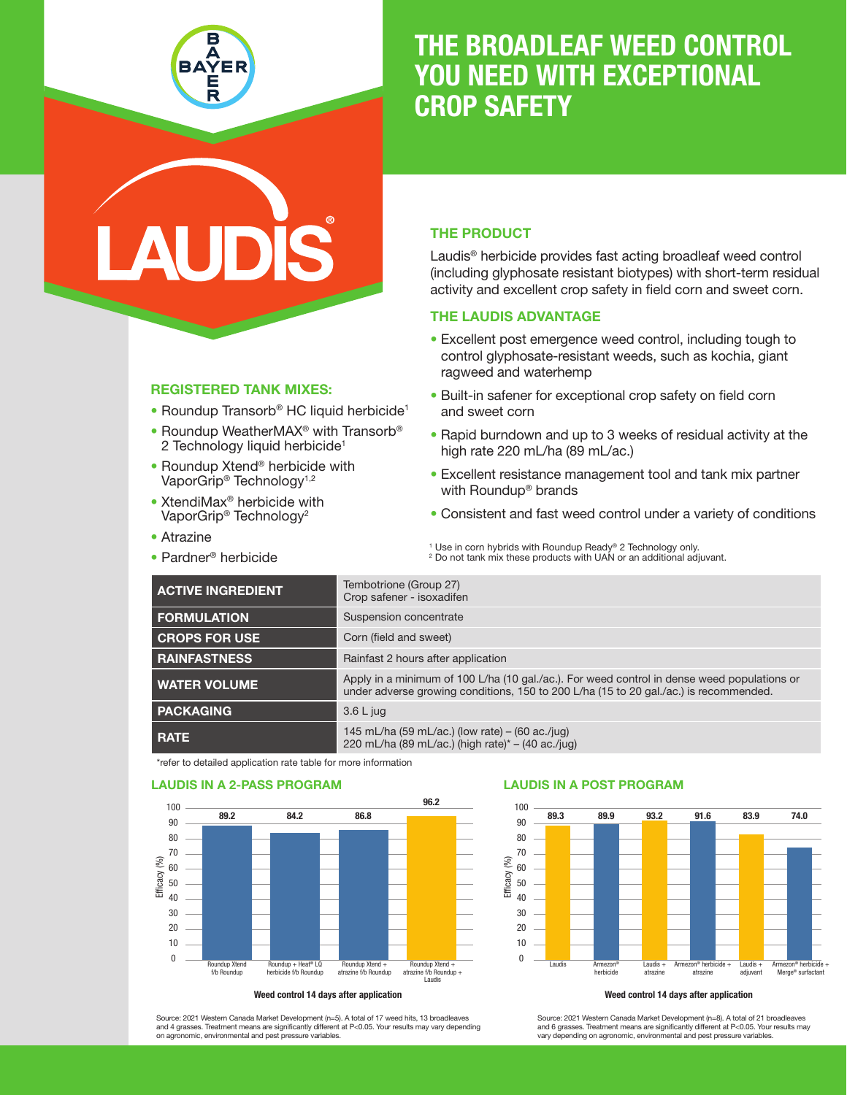

# THE BROADLEAF WEED CONTROL YOU NEED WITH EXCEPTIONAL CROP SAFETY

### REGISTERED TANK MIXES:

- Roundup Transorb® HC liquid herbicide<sup>1</sup>
- Roundup WeatherMAX<sup>®</sup> with Transorb<sup>®</sup> 2 Technology liquid herbicide<sup>1</sup>
- Roundup Xtend<sup>®</sup> herbicide with VaporGrip<sup>®</sup> Technology<sup>1,2</sup>
- XtendiMax® herbicide with VaporGrip® Technology2
- Atrazine
- Pardner® herbicide

### THE PRODUCT

Laudis® herbicide provides fast acting broadleaf weed control (including glyphosate resistant biotypes) with short-term residual activity and excellent crop safety in field corn and sweet corn.

## THE LAUDIS ADVANTAGE

- Excellent post emergence weed control, including tough to control glyphosate-resistant weeds, such as kochia, giant ragweed and waterhemp
- Built-in safener for exceptional crop safety on field corn and sweet corn
- Rapid burndown and up to 3 weeks of residual activity at the high rate 220 mL/ha (89 mL/ac.)
- Excellent resistance management tool and tank mix partner with Roundup® brands
- Consistent and fast weed control under a variety of conditions

<sup>1</sup> Use in corn hybrids with Roundup Ready® 2 Technology only. <sup>2</sup> Do not tank mix these products with UAN or an additional adjuvant.

| <b>ACTIVE INGREDIENT</b> | Tembotrione (Group 27)<br>Crop safener - isoxadifen                                                                                                                                  |
|--------------------------|--------------------------------------------------------------------------------------------------------------------------------------------------------------------------------------|
| <b>FORMULATION</b>       | Suspension concentrate                                                                                                                                                               |
| <b>CROPS FOR USE</b>     | Corn (field and sweet)                                                                                                                                                               |
| <b>RAINFASTNESS</b>      | Rainfast 2 hours after application                                                                                                                                                   |
| <b>WATER VOLUME</b>      | Apply in a minimum of 100 L/ha (10 gal./ac.). For weed control in dense weed populations or<br>under adverse growing conditions, 150 to 200 L/ha (15 to 20 gal./ac.) is recommended. |
| <b>PACKAGING</b>         | $3.6 L$ jug                                                                                                                                                                          |
| <b>RATE</b>              | 145 mL/ha (59 mL/ac.) (low rate) – (60 ac./jug)<br>220 mL/ha (89 mL/ac.) (high rate)* - (40 ac./jug)                                                                                 |

\*refer to detailed application rate table for more information







Source: 2021 Western Canada Market Development (n=5). A total of 17 weed hits, 13 broadleaves and 4 grasses. Treatment means are significantly different at P<0.05. Your results may vary depending onomic, environmental and pest pressure variables

Source: 2021 Western Canada Market Development (n=8). A total of 21 broadleaves and 6 grasses. Treatment means are significantly different at P<0.05. Your results may vary depending on agronomic, environmental and pest pressure variables.